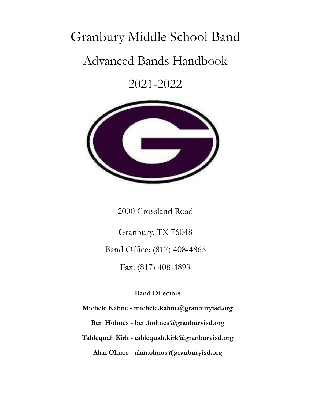# Granbury Middle School Band

# Advanced Bands Handbook

2021-2022



2000 Crossland Road

Granbury, TX 76048 Band Office: (817) 408-4865 Fax: (817) 408-4899

#### **Band Directors**

**Michele Kahne - michele.kahne@granburyisd.org Ben Holmes - ben.holmes@granburyisd.org Tahlequah Kirk - tahlequah.kirk@granburyisd.org Alan Olmos - alan.olmos@granburyisd.org**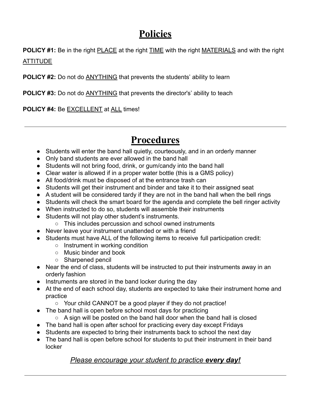# **Policies**

**POLICY #1:** Be in the right PLACE at the right TIME with the right MATERIALS and with the right

ATTITUDE

**POLICY #2:** Do not do ANYTHING that prevents the students' ability to learn

**POLICY #3:** Do not do ANYTHING that prevents the director's' ability to teach

**POLICY #4:** Be EXCELLENT at ALL times!

# **Procedures**

- Students will enter the band hall quietly, courteously, and in an orderly manner
- Only band students are ever allowed in the band hall
- Students will not bring food, drink, or gum/candy into the band hall
- Clear water is allowed if in a proper water bottle (this is a GMS policy)
- All food/drink must be disposed of at the entrance trash can
- Students will get their instrument and binder and take it to their assigned seat
- A student will be considered tardy if they are not in the band hall when the bell rings
- Students will check the smart board for the agenda and complete the bell ringer activity
- When instructed to do so, students will assemble their instruments
- Students will not play other student's instruments.
	- This includes percussion and school owned instruments
- Never leave your instrument unattended or with a friend
- Students must have ALL of the following items to receive full participation credit:
	- Instrument in working condition
	- Music binder and book
	- Sharpened pencil
- Near the end of class, students will be instructed to put their instruments away in an orderly fashion
- Instruments are stored in the band locker during the day
- At the end of each school day, students are expected to take their instrument home and practice
	- Your child CANNOT be a good player if they do not practice!
- The band hall is open before school most days for practicing
	- $\circ$  A sign will be posted on the band hall door when the band hall is closed
- The band hall is open after school for practicing every day except Fridays
- Students are expected to bring their instruments back to school the next day
- The band hall is open before school for students to put their instrument in their band locker

#### *Please encourage your student to practice every day!*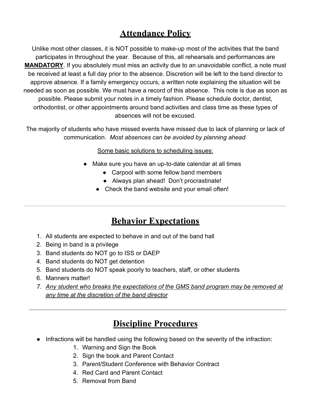#### **Attendance Policy**

Unlike most other classes, it is NOT possible to make-up most of the activities that the band participates in throughout the year. Because of this, all rehearsals and performances are **MANDATORY**. If you absolutely must miss an activity due to an unavoidable conflict, a note must be received at least a full day prior to the absence. Discretion will be left to the band director to approve absence. If a family emergency occurs, a written note explaining the situation will be needed as soon as possible. We must have a record of this absence. This note is due as soon as possible. Please submit your notes in a timely fashion. Please schedule doctor, dentist, orthodontist, or other appointments around band activities and class time as these types of absences will not be excused.

The majority of students who have missed events have missed due to lack of planning or lack of communication. *Most absences can be avoided by planning ahead*.

Some basic solutions to scheduling issues:

- Make sure you have an up-to-date calendar at all times
	- Carpool with some fellow band members
	- Always plan ahead! Don't procrastinate!
	- Check the band website and your email often!

#### **Behavior Expectations**

- 1. All students are expected to behave in and out of the band hall
- 2. Being in band is a privilege
- 3. Band students do NOT go to ISS or DAEP
- 4. Band students do NOT get detention
- 5. Band students do NOT speak poorly to teachers, staff, or other students
- 6. Manners matter!
- *7. Any student who breaks the expectations of the GMS band program may be removed at any time at the discretion of the band director*

#### **Discipline Procedures**

- Infractions will be handled using the following based on the severity of the infraction:
	- 1. Warning and Sign the Book
	- 2. Sign the book and Parent Contact
	- 3. Parent/Student Conference with Behavior Contract
	- 4. Red Card and Parent Contact
	- 5. Removal from Band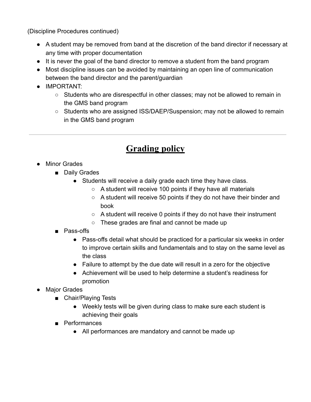(Discipline Procedures continued)

- A student may be removed from band at the discretion of the band director if necessary at any time with proper documentation
- It is never the goal of the band director to remove a student from the band program
- Most discipline issues can be avoided by maintaining an open line of communication between the band director and the parent/guardian
- IMPORTANT:
	- Students who are disrespectful in other classes; may not be allowed to remain in the GMS band program
	- Students who are assigned ISS/DAEP/Suspension; may not be allowed to remain in the GMS band program

### **Grading policy**

- Minor Grades
	- Daily Grades
		- Students will receive a daily grade each time they have class.
			- $\circ$  A student will receive 100 points if they have all materials
			- A student will receive 50 points if they do not have their binder and book
			- A student will receive 0 points if they do not have their instrument
			- These grades are final and cannot be made up
	- Pass-offs
		- Pass-offs detail what should be practiced for a particular six weeks in order to improve certain skills and fundamentals and to stay on the same level as the class
		- Failure to attempt by the due date will result in a zero for the objective
		- Achievement will be used to help determine a student's readiness for promotion
- Major Grades
	- Chair/Playing Tests
		- Weekly tests will be given during class to make sure each student is achieving their goals
	- Performances
		- All performances are mandatory and cannot be made up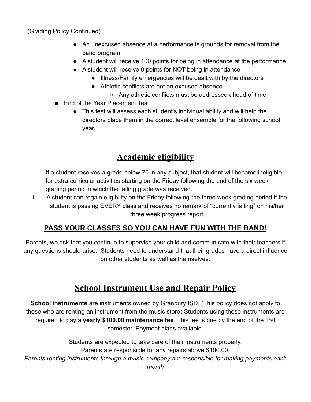(Grading Policy Continued)

- An unexcused absence at a performance is grounds for removal from the band program
- A student will receive 100 points for being in attendance at the performance
- A student will receive 0 points for NOT being in attendance
	- Illness/Family emergencies will be dealt with by the directors
	- Athletic conflicts are not an excused absence
		- Any athletic conflicts must be addressed ahead of time
- End of the Year Placement Test
	- This test will assess each student's individual ability and will help the directors place them in the correct level ensemble for the following school year.

### **Academic eligibility**

- I. If a student receives a grade below 70 in any subject, that student will become ineligible for extra-curricular activities starting on the Friday following the end of the six week grading period in which the failing grade was received.
- II. A student can regain eligibility on the Friday following the three week grading period if the student is passing EVERY class and receives no remark of "currently failing" on his/her three week progress report

#### **PASS YOUR CLASSES SO YOU CAN HAVE FUN WITH THE BAND!**

Parents, we ask that you continue to supervise your child and communicate with their teachers if any questions should arise. Students need to understand that their grades have a direct influence on other students as well as themselves.

### **School Instrument Use and Repair Policy**

**School instruments** are instruments owned by Granbury ISD. (This policy does not apply to those who are renting an instrument from the music store) Students using these instruments are required to pay a **yearly \$100.00 maintenance fee**. This fee is due by the end of the first semester. Payment plans available.

> Students are expected to take care of their instruments properly. Parents are responsible for any repairs above \$100.00.

*Parents renting instruments through a music company are responsible for making payments each month*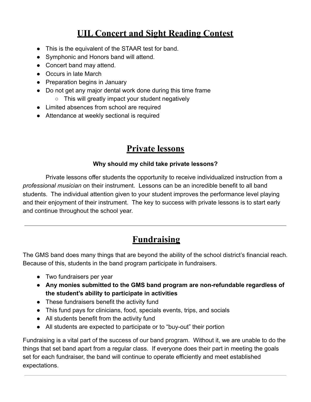### **UIL Concert and Sight Reading Contest**

- This is the equivalent of the STAAR test for band.
- Symphonic and Honors band will attend.
- Concert band may attend.
- Occurs in late March
- Preparation begins in January
- Do not get any major dental work done during this time frame
	- This will greatly impact your student negatively
- Limited absences from school are required
- Attendance at weekly sectional is required

### **Private lessons**

#### **Why should my child take private lessons?**

Private lessons offer students the opportunity to receive individualized instruction from a *professional musician* on their instrument. Lessons can be an incredible benefit to all band students. The individual attention given to your student improves the performance level playing and their enjoyment of their instrument. The key to success with private lessons is to start early and continue throughout the school year.

### **Fundraising**

The GMS band does many things that are beyond the ability of the school district's financial reach. Because of this, students in the band program participate in fundraisers.

- Two fundraisers per year
- **Any monies submitted to the GMS band program are non-refundable regardless of the student's ability to participate in activities**
- These fundraisers benefit the activity fund
- This fund pays for clinicians, food, specials events, trips, and socials
- All students benefit from the activity fund
- All students are expected to participate or to "buy-out" their portion

Fundraising is a vital part of the success of our band program. Without it, we are unable to do the things that set band apart from a regular class. If everyone does their part in meeting the goals set for each fundraiser, the band will continue to operate efficiently and meet established expectations.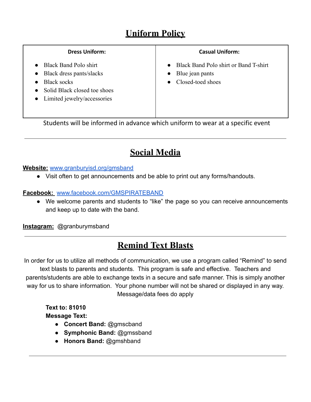## **Uniform Policy**

#### **Dress Uniform:**

- Black Band Polo shirt
- Black dress pants/slacks
- Black socks
- Solid Black closed toe shoes
- Limited jewelry/accessories

#### **Casual Uniform:**

- Black Band Polo shirt or Band T-shirt
- Blue jean pants
- Closed-toed shoes

Students will be informed in advance which uniform to wear at a specific event

### **Social Media**

#### **Website:** [www.granburyisd.org/gmsband](http://www.granburyisd.org/gmsband)

● Visit often to get announcements and be able to print out any forms/handouts.

**Facebook:** [www.facebook.com/GMSPIRATEBAND](http://www.facebook.com/GMSPIRATEBAND)

● We welcome parents and students to "like" the page so you can receive announcements and keep up to date with the band.

**Instagram:** @granburymsband

### **Remind Text Blasts**

In order for us to utilize all methods of communication, we use a program called "Remind" to send text blasts to parents and students. This program is safe and effective. Teachers and parents/students are able to exchange texts in a secure and safe manner. This is simply another way for us to share information. Your phone number will not be shared or displayed in any way. Message/data fees do apply

**Text to: 81010 Message Text:**

- **● Concert Band:** @gmscband
- **● Symphonic Band:** @gmssband
- **● Honors Band:** @gmshband